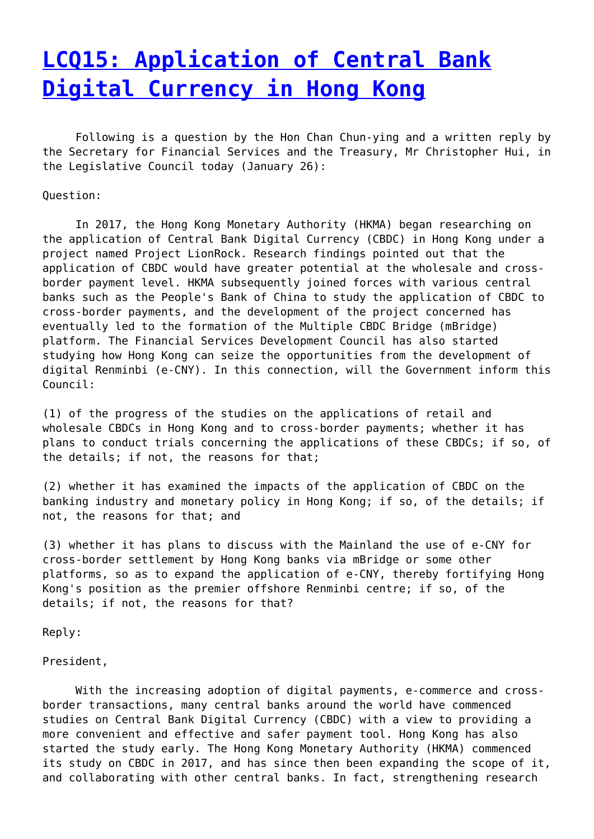## **[LCQ15: Application of Central Bank](http://www.government-world.com/lcq15-application-of-central-bank-digital-currency-in-hong-kong/) [Digital Currency in Hong Kong](http://www.government-world.com/lcq15-application-of-central-bank-digital-currency-in-hong-kong/)**

 Following is a question by the Hon Chan Chun-ying and a written reply by the Secretary for Financial Services and the Treasury, Mr Christopher Hui, in the Legislative Council today (January 26):

Question:

 In 2017, the Hong Kong Monetary Authority (HKMA) began researching on the application of Central Bank Digital Currency (CBDC) in Hong Kong under a project named Project LionRock. Research findings pointed out that the application of CBDC would have greater potential at the wholesale and crossborder payment level. HKMA subsequently joined forces with various central banks such as the People's Bank of China to study the application of CBDC to cross-border payments, and the development of the project concerned has eventually led to the formation of the Multiple CBDC Bridge (mBridge) platform. The Financial Services Development Council has also started studying how Hong Kong can seize the opportunities from the development of digital Renminbi (e-CNY). In this connection, will the Government inform this Council:

(1) of the progress of the studies on the applications of retail and wholesale CBDCs in Hong Kong and to cross-border payments; whether it has plans to conduct trials concerning the applications of these CBDCs; if so, of the details; if not, the reasons for that;

(2) whether it has examined the impacts of the application of CBDC on the banking industry and monetary policy in Hong Kong; if so, of the details; if not, the reasons for that; and

(3) whether it has plans to discuss with the Mainland the use of e-CNY for cross-border settlement by Hong Kong banks via mBridge or some other platforms, so as to expand the application of e-CNY, thereby fortifying Hong Kong's position as the premier offshore Renminbi centre; if so, of the details; if not, the reasons for that?

Reply:

## President,

 With the increasing adoption of digital payments, e-commerce and crossborder transactions, many central banks around the world have commenced studies on Central Bank Digital Currency (CBDC) with a view to providing a more convenient and effective and safer payment tool. Hong Kong has also started the study early. The Hong Kong Monetary Authority (HKMA) commenced its study on CBDC in 2017, and has since then been expanding the scope of it, and collaborating with other central banks. In fact, strengthening research